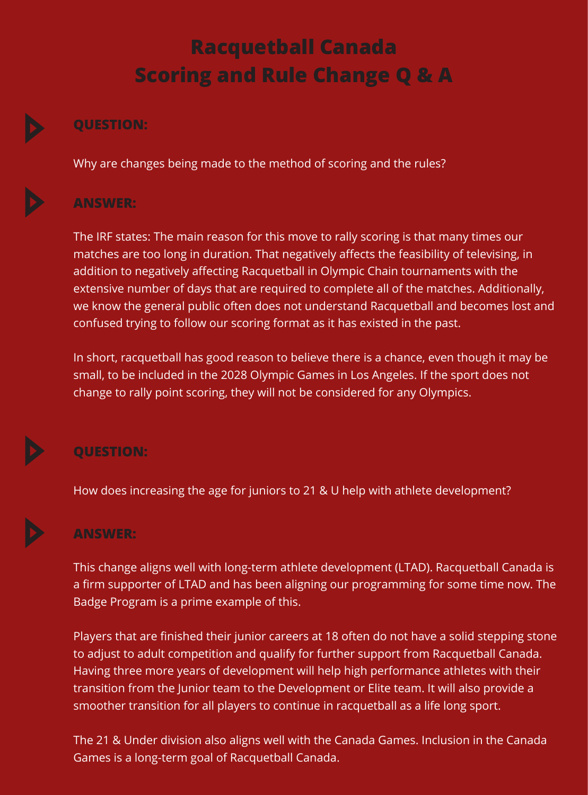# **Racquetball Canada Scoring and Rule Change Q & A**

## **QUESTION:**

Why are changes being made to the method of scoring and the rules?

# **ANSWER:**

The IRF states: The main reason for this move to rally scoring is that many times our matches are too long in duration. That negatively affects the feasibility of televising, in addition to negatively affecting Racquetball in Olympic Chain tournaments with the extensive number of days that are required to complete all of the matches. Additionally, we know the general public often does not understand Racquetball and becomes lost and confused trying to follow our scoring format as it has existed in the past.

In short, racquetball has good reason to believe there is a chance, even though it may be small, to be included in the 2028 Olympic Games in Los Angeles. If the sport does not change to rally point scoring, they will not be considered for any Olympics.

# **QUESTION:**

How does increasing the age for juniors to 21 & U help with athlete development?

# **ANSWER:**

This change aligns well with long-term athlete development (LTAD). Racquetball Canada is a firm supporter of LTAD and has been aligning our programming for some time now. The Badge Program is a prime example of this.

Players that are finished their junior careers at 18 often do not have a solid stepping stone to adjust to adult competition and qualify for further support from Racquetball Canada. Having three more years of development will help high performance athletes with their transition from the Junior team to the Development or Elite team. It will also provide a smoother transition for all players to continue in racquetball as a life long sport.

The 21 & Under division also aligns well with the Canada Games. Inclusion in the Canada Games is a long-term goal of Racquetball Canada.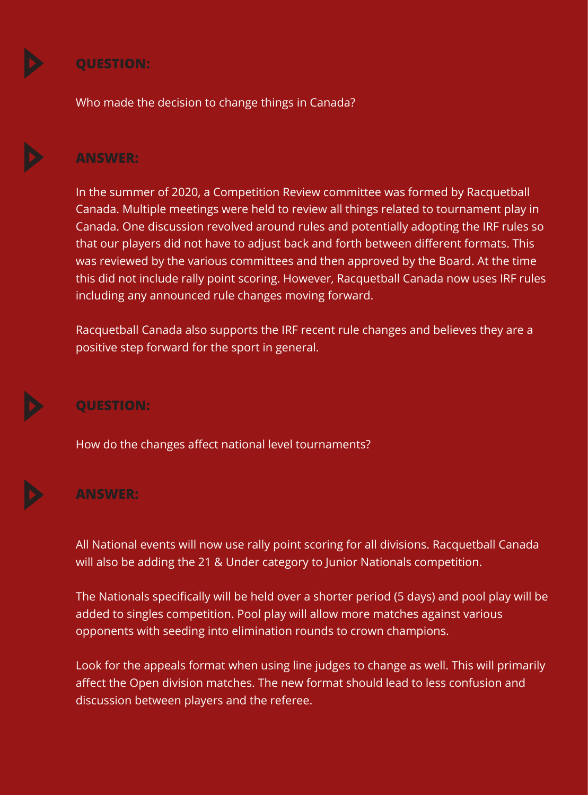

#### **QUESTION:**

Who made the decision to change things in Canada?

#### **ANSWER:**

In the summer of 2020, a Competition Review committee was formed by Racquetball Canada. Multiple meetings were held to review all things related to tournament play in Canada. One discussion revolved around rules and potentially adopting the IRF rules so that our players did not have to adjust back and forth between different formats. This was reviewed by the various committees and then approved by the Board. At the time this did not include rally point scoring. However, Racquetball Canada now uses IRF rules including any announced rule changes moving forward.

Racquetball Canada also supports the IRF recent rule changes and believes they are a positive step forward for the sport in general.



### **QUESTION:**

How do the changes affect national level tournaments?



#### **ANSWER:**

All National events will now use rally point scoring for all divisions. Racquetball Canada will also be adding the 21 & Under category to Junior Nationals competition.

The Nationals specifically will be held over a shorter period (5 days) and pool play will be added to singles competition. Pool play will allow more matches against various opponents with seeding into elimination rounds to crown champions.

Look for the appeals format when using line judges to change as well. This will primarily affect the Open division matches. The new format should lead to less confusion and discussion between players and the referee.